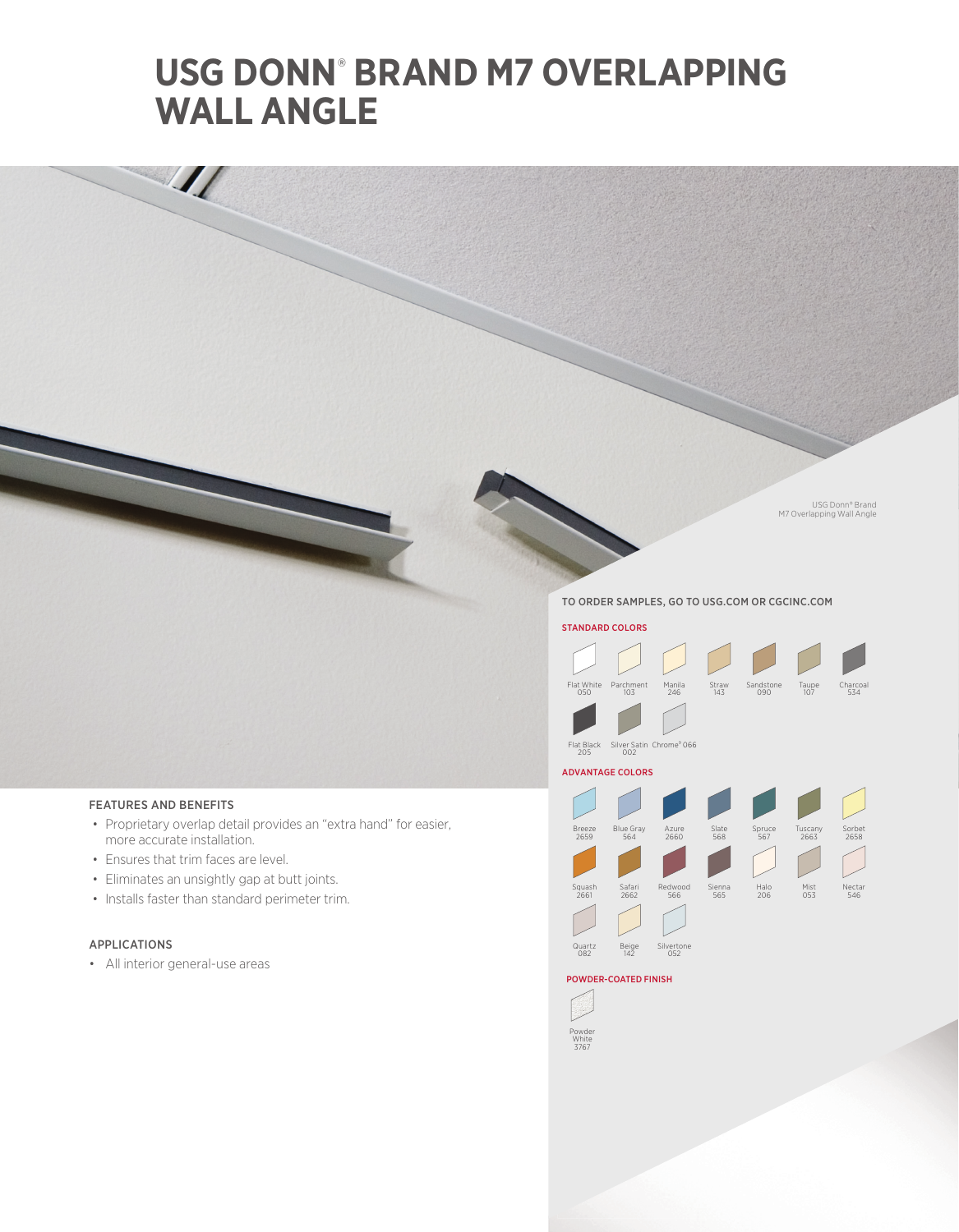# **USG DONN**®  **BRAND M7 OVERLAPPING WALL ANGLE**

USG Donn® Brand M7 Overlapping Wall Angle

### TO ORDER SAMPLES, GO TO USG.COM OR CGCINC.COM



 $\frac{1}{2}$ 

- Proprietary overlap detail provides an "extra hand" for easier, more accurate installation.
- Ensures that trim faces are level.
- Eliminates an unsightly gap at butt joints.
- Installs faster than standard perimeter trim.

## APPLICATIONS

• All interior general-use areas

STANDARD COLORS Flat White <sup>050</sup> Parchment Sandstone <sup>090</sup> Taupe 107 Charcoal <sup>534</sup>



Manila 246 Straw 143

#### ADVANTAGE COLORS



### POWDER-COATED FINISH